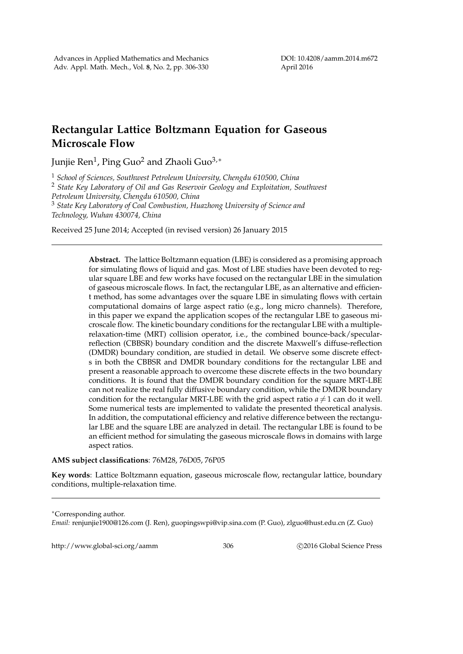## **Rectangular Lattice Boltzmann Equation for Gaseous Microscale Flow**

Junjie Ren<sup>1</sup> , Ping Guo<sup>2</sup> and Zhaoli Guo3,*<sup>∗</sup>*

<sup>1</sup> *School of Sciences, Southwest Petroleum University, Chengdu 610500, China*

<sup>2</sup> *State Key Laboratory of Oil and Gas Reservoir Geology and Exploitation, Southwest Petroleum University, Chengdu 610500, China*

<sup>3</sup> *State Key Laboratory of Coal Combustion, Huazhong University of Science and Technology, Wuhan 430074, China*

Received 25 June 2014; Accepted (in revised version) 26 January 2015

**Abstract.** The lattice Boltzmann equation (LBE) is considered as a promising approach for simulating flows of liquid and gas. Most of LBE studies have been devoted to regular square LBE and few works have focused on the rectangular LBE in the simulation of gaseous microscale flows. In fact, the rectangular LBE, as an alternative and efficient method, has some advantages over the square LBE in simulating flows with certain computational domains of large aspect ratio (e.g., long micro channels). Therefore, in this paper we expand the application scopes of the rectangular LBE to gaseous microscale flow. The kinetic boundary conditions for the rectangular LBE with a multiplerelaxation-time (MRT) collision operator, i.e., the combined bounce-back/specularreflection (CBBSR) boundary condition and the discrete Maxwell's diffuse-reflection (DMDR) boundary condition, are studied in detail. We observe some discrete effects in both the CBBSR and DMDR boundary conditions for the rectangular LBE and present a reasonable approach to overcome these discrete effects in the two boundary conditions. It is found that the DMDR boundary condition for the square MRT-LBE can not realize the real fully diffusive boundary condition, while the DMDR boundary condition for the rectangular MRT-LBE with the grid aspect ratio  $a \neq 1$  can do it well. Some numerical tests are implemented to validate the presented theoretical analysis. In addition, the computational efficiency and relative difference between the rectangular LBE and the square LBE are analyzed in detail. The rectangular LBE is found to be an efficient method for simulating the gaseous microscale flows in domains with large aspect ratios.

## **AMS subject classifications**: 76M28, 76D05, 76P05

**Key words**: Lattice Boltzmann equation, gaseous microscale flow, rectangular lattice, boundary conditions, multiple-relaxation time.

*∗*Corresponding author.

*Email:* renjunjie1900@126.com (J. Ren), guopingswpi@vip.sina.com (P. Guo), zlguo@hust.edu.cn (Z. Guo)

http://www.global-sci.org/aamm 306 *Q2016 Global Science Press*